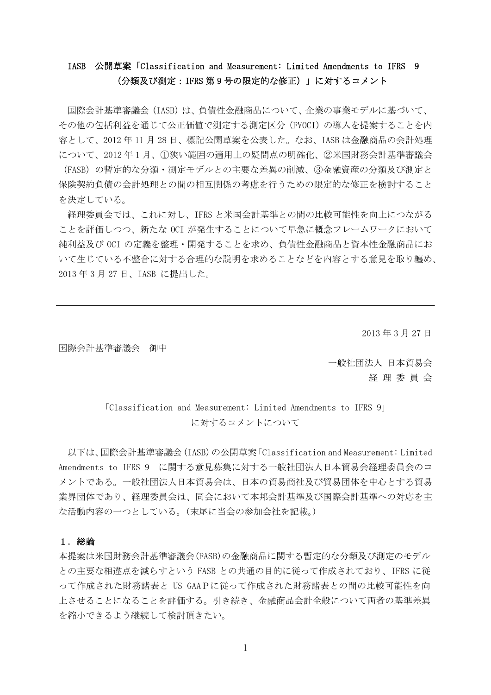## IASB 公開草案「Classification and Measurement: Limited Amendments to IFRS 9 (分類及び測定:IFRS 第 9 号の限定的な修正)」に対するコメント

国際会計基準審議会(IASB)は、負債性金融商品について、企業の事業モデルに基づいて、 その他の包括利益を通じて公正価値で測定する測定区分(FVOCI)の導入を提案することを内 容として、2012 年 11 月 28 日、標記公開草案を公表した。なお、IASB は金融商品の会計処理 について、2012 年 1 月、①狭い範囲の適用上の疑問点の明確化、②米国財務会計基準審議会 (FASB)の暫定的な分類・測定モデルとの主要な差異の削減、③金融資産の分類及び測定と 保険契約負債の会計処理との間の相互関係の考慮を行うための限定的な修正を検討すること を決定している。

経理委員会では、これに対し、IFRS と米国会計基準との間の比較可能性を向上につながる ことを評価しつつ、新たな OCI が発生することについて早急に概念フレームワークにおいて 純利益及び OCI の定義を整理・開発することを求め、負債性金融商品と資本性金融商品にお いて生じている不整合に対する合理的な説明を求めることなどを内容とする意見を取り纏め、 2013 年 3 月 27 日、IASB に提出した。

2013 年 3 月 27 日

国際会計基準審議会 御中

一般社団法人 日本貿易会 経 理 委 員 会

「Classification and Measurement: Limited Amendments to IFRS 9」 に対するコメントについて

以下は、国際会計基準審議会(IASB)の公開草案「Classification and Measurement: Limited Amendments to IFRS 9」に関する意見募集に対する一般社団法人日本貿易会経理委員会のコ メントである。一般社団法人日本貿易会は、日本の貿易商社及び貿易団体を中心とする貿易 業界団体であり、経理委員会は、同会において本邦会計基準及び国際会計基準への対応を主 な活動内容の一つとしている。(末尾に当会の参加会社を記載。)

### 1.総論

本提案は米国財務会計基準審議会(FASB)の金融商品に関する暫定的な分類及び測定のモデル との主要な相違点を減らすという FASB との共通の目的に従って作成されており、IFRS に従 って作成された財務諸表と US GAAPに従って作成された財務諸表との間の比較可能性を向 上させることになることを評価する。引き続き、金融商品会計全般について両者の基準差異 を縮小できるよう継続して検討頂きたい。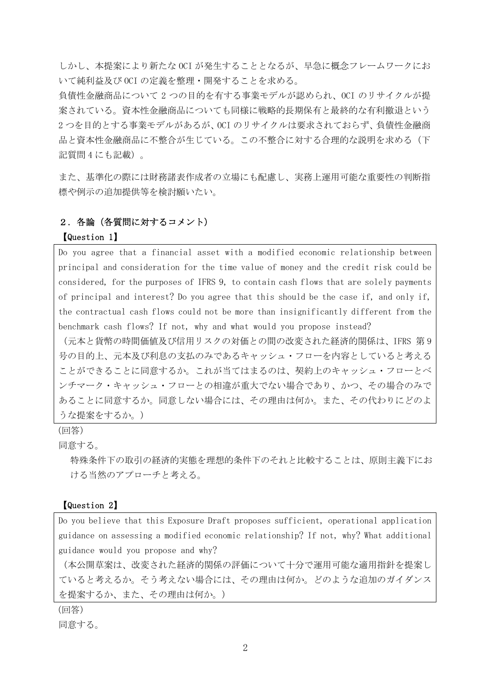しかし、本提案により新たな OCI が発生することとなるが、早急に概念フレームワークにお いて純利益及び OCI の定義を整理・開発することを求める。

負債性金融商品について 2 つの目的を有する事業モデルが認められ、OCI のリサイクルが提 案されている。資本性金融商品についても同様に戦略的長期保有と最終的な有利撤退という 2 つを目的とする事業モデルがあるが、OCI のリサイクルは要求されておらず、負債性金融商 品と資本性金融商品に不整合が生じている。この不整合に対する合理的な説明を求める(下 記質問 4 にも記載)。

また、基準化の際には財務諸表作成者の立場にも配慮し、実務上運用可能な重要性の判断指 標や例示の追加提供等を検討願いたい。

### 2. 各論(各質問に対するコメント)

#### 【Question 1】

Do you agree that a financial asset with a modified economic relationship between principal and consideration for the time value of money and the credit risk could be considered, for the purposes of IFRS 9, to contain cash flows that are solely payments of principal and interest? Do you agree that this should be the case if, and only if, the contractual cash flows could not be more than insignificantly different from the benchmark cash flows? If not, why and what would you propose instead?

(元本と貨幣の時間価値及び信用リスクの対価との間の改変された経済的関係は、IFRS 第 9 号の目的上、元本及び利息の支払のみであるキャッシュ・フローを内容としていると考える ことができることに同意するか。これが当てはまるのは、契約上のキャッシュ・フローとベ ンチマーク・キャッシュ・フローとの相違が重大でない場合であり、かつ、その場合のみで あることに同意するか。同意しない場合には、その理由は何か。また、その代わりにどのよ うな提案をするか。)

(回答)

同意する。

特殊条件下の取引の経済的実態を理想的条件下のそれと比較することは、原則主義下にお ける当然のアプローチと考える。

#### 【Question 2】

Do you believe that this Exposure Draft proposes sufficient, operational application guidance on assessing a modified economic relationship? If not, why? What additional guidance would you propose and why?

(本公開草案は、改変された経済的関係の評価について十分で運用可能な適用指針を提案し ていると考えるか。そう考えない場合には、その理由は何か。どのような追加のガイダンス を提案するか、また、その理由は何か。)

(回答)

同意する。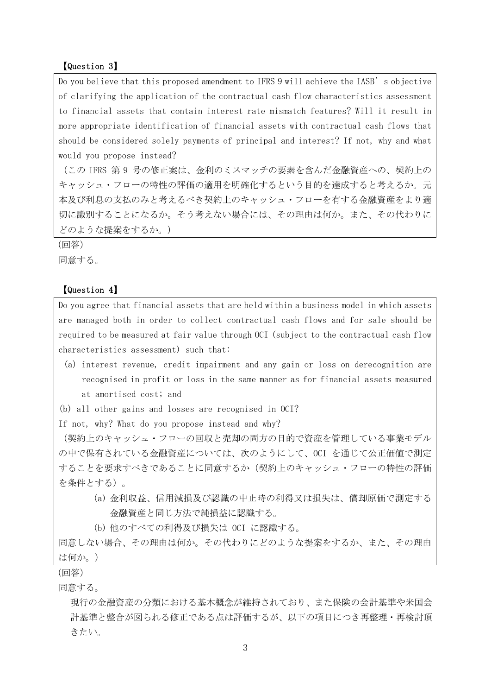#### 【Question 3】

Do you believe that this proposed amendment to IFRS 9 will achieve the IASB's objective of clarifying the application of the contractual cash flow characteristics assessment to financial assets that contain interest rate mismatch features? Will it result in more appropriate identification of financial assets with contractual cash flows that should be considered solely payments of principal and interest? If not, why and what would you propose instead?

(この IFRS 第 9 号の修正案は、金利のミスマッチの要素を含んだ金融資産への、契約上の キャッシュ・フローの特性の評価の適用を明確化するという目的を達成すると考えるか。元 本及び利息の支払のみと考えるべき契約上のキャッシュ・フローを有する金融資産をより適 切に識別することになるか。そう考えない場合には、その理由は何か。また、その代わりに どのような提案をするか。)

(回答) 同意する。

### 【Question 4】

Do you agree that financial assets that are held within a business model in which assets are managed both in order to collect contractual cash flows and for sale should be required to be measured at fair value through OCI (subject to the contractual cash flow characteristics assessment) such that:

- (a) interest revenue, credit impairment and any gain or loss on derecognition are recognised in profit or loss in the same manner as for financial assets measured at amortised cost; and
- (b) all other gains and losses are recognised in OCI?

If not, why? What do you propose instead and why?

(契約上のキャッシュ・フローの回収と売却の両方の目的で資産を管理している事業モデル の中で保有されている金融資産については、次のようにして、OCI を通じて公正価値で測定 することを要求すべきであることに同意するか(契約上のキャッシュ・フローの特性の評価 を条件とする)。

- (a) 金利収益、信用減損及び認識の中止時の利得又は損失は、償却原価で測定する 金融資産と同じ方法で純損益に認識する。
- (b) 他のすべての利得及び損失は OCI に認識する。

同意しない場合、その理由は何か。その代わりにどのような提案をするか、また、その理由 は何か。)

(回答)

同意する。

現行の金融資産の分類における基本概念が維持されており、また保険の会計基準や米国会 計基準と整合が図られる修正である点は評価するが、以下の項目につき再整理・再検討頂 きたい。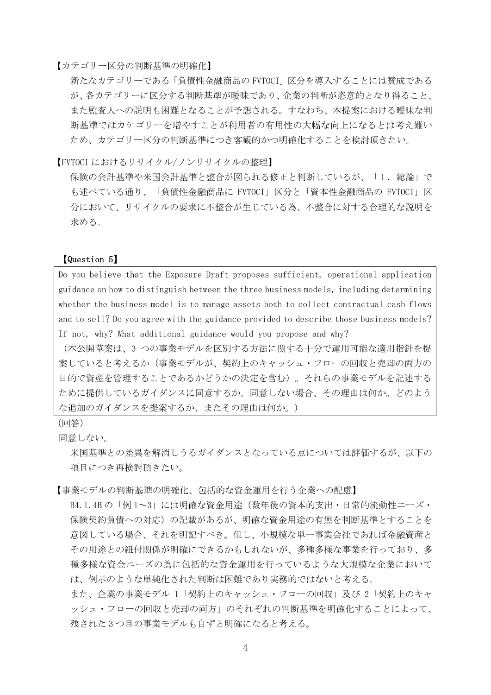【カテゴリー区分の判断基準の明確化】

新たなカテゴリーである「負債性金融商品の FVTOCI」区分を導入することには賛成である が、各カテゴリーに区分する判断基準が曖昧であり、企業の判断が恣意的となり得ること、 また監査人への説明も困難となることが予想される。すなわち、本提案における曖昧な判 断基準ではカテゴリーを増やすことが利用者の有用性の大幅な向上になるとは考え難い ため、カテゴリー区分の判断基準につき客観的かつ明確化することを検討頂きたい。

【FVTOCI におけるリサイクル/ノンリサイクルの整理】

保険の会計基準や米国会計基準と整合が図られる修正と判断しているが、「1.総論」で も述べている通り、「負債性金融商品に FVTOCI」区分と「資本性金融商品の FVTOCI」区 分において、リサイクルの要求に不整合が生じている為、不整合に対する合理的な説明を 求める。

#### 【Question 5】

Do you believe that the Exposure Draft proposes sufficient, operational application guidance on how to distinguish between the three business models, including determining whether the business model is to manage assets both to collect contractual cash flows and to sell? Do you agree with the guidance provided to describe those business models? If not, why? What additional guidance would you propose and why?

(本公開草案は、3 つの事業モデルを区別する方法に関する十分で運用可能な適用指針を提 案していると考えるか(事業モデルが、契約上のキャッシュ・フローの回収と売却の両方の 目的で資産を管理することであるかどうかの決定を含む)。それらの事業モデルを記述する ために提供しているガイダンスに同意するか。同意しない場合、その理由は何か。どのよう な追加のガイダンスを提案するか、またその理由は何か。)

#### (回答)

同意しない。

米国基準との差異を解消しうるガイダンスとなっている点については評価するが、以下の 項目につき再検討頂きたい。

【事業モデルの判断基準の明確化、包括的な資金運用を行う企業への配慮】

B4.1.4B の「例 1~3」には明確な資金用途(数年後の資本的支出・日常的流動性ニーズ・ 保険契約負債への対応)の記載があるが、明確な資金用途の有無を判断基準とすることを 意図している場合、それを明記すべき。但し、小規模な単一事業会社であれば金融資産と その用途との紐付関係が明確にできるかもしれないが、多種多様な事業を行っており、多 種多様な資金ニーズの為に包括的な資金運用を行っているような大規模な企業において は、例示のような単純化された判断は困難であり実務的ではないと考える。

また、企業の事業モデル 1「契約上のキャッシュ・フローの回収」及び 2「契約上のキャ ッシュ・フローの回収と売却の両方」のそれぞれの判断基準を明確化することによって、 残された 3 つ目の事業モデルも自ずと明確になると考える。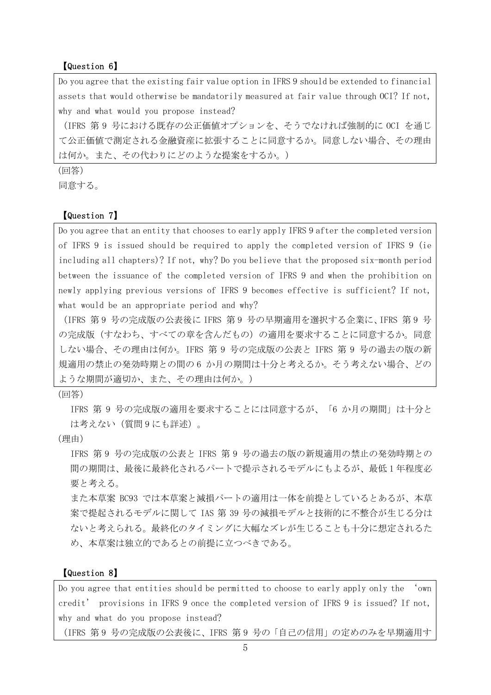#### 【Question 6】

Do you agree that the existing fair value option in IFRS 9 should be extended to financial assets that would otherwise be mandatorily measured at fair value through OCI? If not, why and what would you propose instead?

(IFRS 第 9 号における既存の公正価値オプションを、そうでなければ強制的に OCI を通じ て公正価値で測定される金融資産に拡張することに同意するか。同意しない場合、その理由 は何か。また、その代わりにどのような提案をするか。)

(回答)

同意する。

#### 【Question 7】

Do you agree that an entity that chooses to early apply IFRS 9 after the completed version of IFRS 9 is issued should be required to apply the completed version of IFRS 9 (ie including all chapters)? If not, why? Do you believe that the proposed six-month period between the issuance of the completed version of IFRS 9 and when the prohibition on newly applying previous versions of IFRS 9 becomes effective is sufficient? If not, what would be an appropriate period and why?

(IFRS 第 9 号の完成版の公表後に IFRS 第 9 号の早期適用を選択する企業に、IFRS 第 9 号 の完成版(すなわち、すべての章を含んだもの)の適用を要求することに同意するか。同意 しない場合、その理由は何か。IFRS 第 9 号の完成版の公表と IFRS 第 9 号の過去の版の新 規適用の禁止の発効時期との間の 6 か月の期間は十分と考えるか。そう考えない場合、どの ような期間が適切か、また、その理由は何か。)

(回答)

IFRS 第 9 号の完成版の適用を要求することには同意するが、「6 か月の期間」は十分と は考えない(質問 9 にも詳述)。

(理由)

IFRS 第 9 号の完成版の公表と IFRS 第 9 号の過去の版の新規適用の禁止の発効時期との 間の期間は、最後に最終化されるパートで提示されるモデルにもよるが、最低 1 年程度必 要と考える。

また本草案 BC93 では本草案と減損パートの適用は一体を前提としているとあるが、本草 案で提起されるモデルに関して IAS 第 39 号の減損モデルと技術的に不整合が生じる分は ないと考えられる。最終化のタイミングに大幅なズレが生じることも十分に想定されるた め、本草案は独立的であるとの前提に立つべきである。

#### 【Question 8】

Do you agree that entities should be permitted to choose to early apply only the 'own credit' provisions in IFRS 9 once the completed version of IFRS 9 is issued? If not, why and what do you propose instead?

(IFRS 第 9 号の完成版の公表後に、IFRS 第 9 号の「自己の信用」の定めのみを早期適用す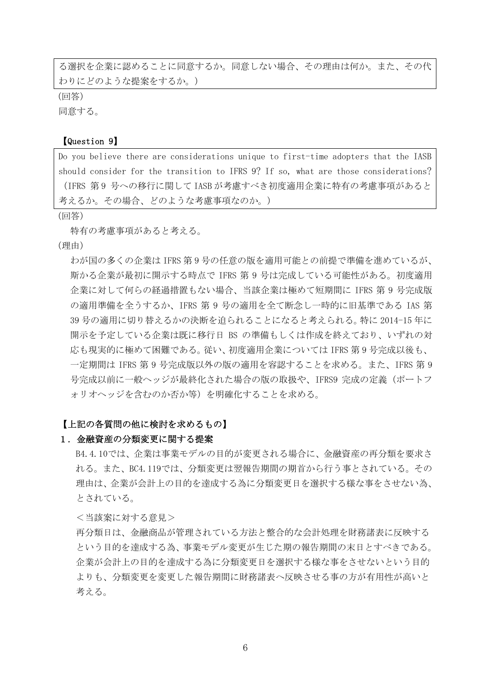る選択を企業に認めることに同意するか。同意しない場合、その理由は何か。また、その代 わりにどのような提案をするか。)

(回答)

同意する。

#### 【Question 9】

Do you believe there are considerations unique to first-time adopters that the IASB should consider for the transition to IFRS 9? If so, what are those considerations? (IFRS 第 9 号への移行に関して IASB が考慮すべき初度適用企業に特有の考慮事項があると 考えるか。その場合、どのような考慮事項なのか。)

(回答)

特有の考慮事項があると考える。

(理由)

わが国の多くの企業は IFRS 第 9 号の任意の版を適用可能との前提で準備を進めているが、 斯かる企業が最初に開示する時点で IFRS 第 9 号は完成している可能性がある。初度適用 企業に対して何らの経過措置もない場合、当該企業は極めて短期間に IFRS 第 9 号完成版 の適用準備を全うするか、IFRS 第 9 号の適用を全て断念し一時的に旧基準である IAS 第 39 号の適用に切り替えるかの決断を迫られることになると考えられる。特に 2014-15 年に 開示を予定している企業は既に移行日 BS の準備もしくは作成を終えており、いずれの対 応も現実的に極めて困難である。従い、初度適用企業については IFRS 第 9 号完成以後も、 一定期間は IFRS 第 9 号完成版以外の版の適用を容認することを求める。また、IFRS 第 9 号完成以前に一般ヘッジが最終化された場合の版の取扱や、IFRS9 完成の定義(ポートフ ォリオヘッジを含むのか否か等)を明確化することを求める。

#### 【上記の各質問の他に検討を求めるもの】

#### 1.金融資産の分類変更に関する提案

B4.4.10では、企業は事業モデルの目的が変更される場合に、金融資産の再分類を要求さ れる。また、BC4.119では、分類変更は翌報告期間の期首から行う事とされている。その 理由は、企業が会計上の目的を達成する為に分類変更日を選択する様な事をさせない為、 とされている。

<当該案に対する意見>

再分類日は、金融商品が管理されている方法と整合的な会計処理を財務諸表に反映する という目的を達成する為、事業モデル変更が生じた期の報告期間の末日とすべきである。 企業が会計上の目的を達成する為に分類変更日を選択する様な事をさせないという目的 よりも、分類変更を変更した報告期間に財務諸表へ反映させる事の方が有用性が高いと 考える。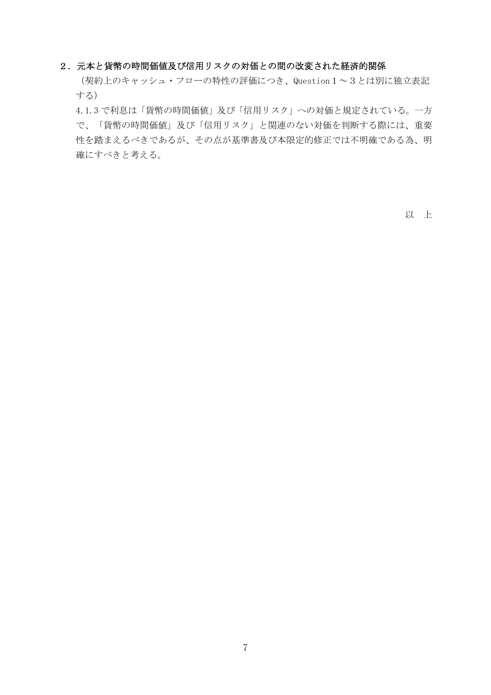#### 2.元本と貨幣の時間価値及び信用リスクの対価との間の改変された経済的関係

(契約上のキャッシュ・フローの特性の評価につき、Question1~3とは別に独立表記 する)

4.1.3 で利息は「貨幣の時間価値」及び「信用リスク」への対価と規定されている。一方 で、「貨幣の時間価値」及び「信用リスク」と関連のない対価を判断する際には、重要 性を踏まえるべきであるが、その点が基準書及び本限定的修正では不明確である為、明 確にすべきと考える。

以 上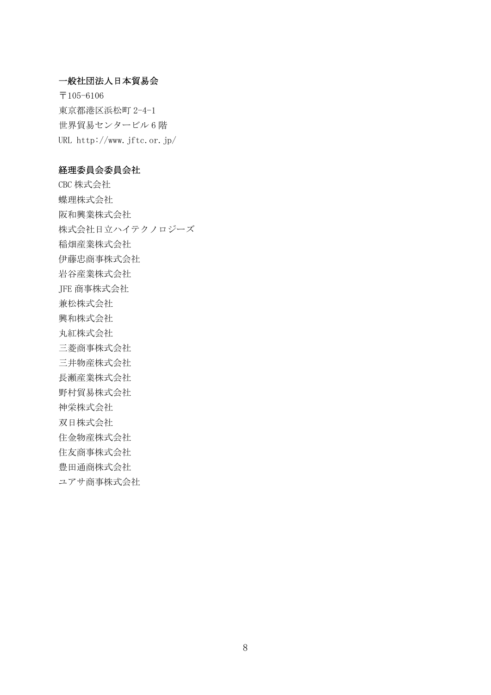### 一般社団法人日本貿易会

〒105-6106 東京都港区浜松町 2-4-1 世界貿易センタービル 6 階 URL http://www.jftc.or.jp/

### 経理委員会委員会社

CBC 株式会社 蝶理株式会社 阪和興業株式会社 株式会社日立ハイテクノロジーズ 稲畑産業株式会社 伊藤忠商事株式会社 岩谷産業株式会社 JFE 商事株式会社 兼松株式会社 興和株式会社 丸紅株式会社 三菱商事株式会社 三井物産株式会社 長瀬産業株式会社 野村貿易株式会社 神栄株式会社 双日株式会社 住金物産株式会社 住友商事株式会社 豊田通商株式会社 ユアサ商事株式会社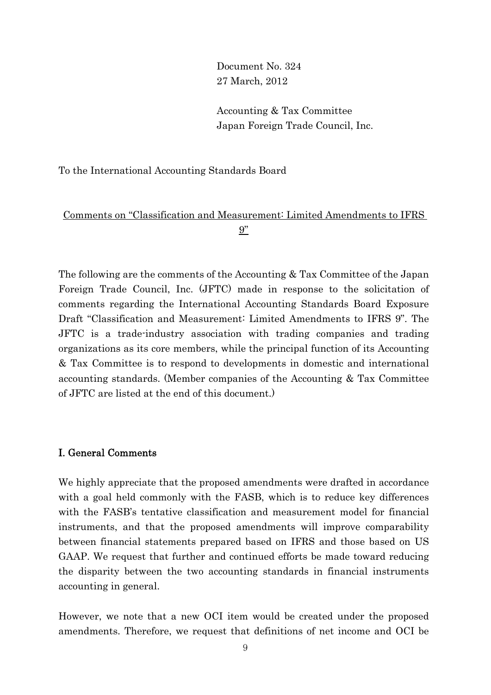Document No. 324 27 March, 2012

Accounting & Tax Committee Japan Foreign Trade Council, Inc.

To the International Accounting Standards Board

# Comments on "Classification and Measurement: Limited Amendments to IFRS 9"

The following are the comments of the Accounting & Tax Committee of the Japan Foreign Trade Council, Inc. (JFTC) made in response to the solicitation of comments regarding the International Accounting Standards Board Exposure Draft "Classification and Measurement: Limited Amendments to IFRS 9". The JFTC is a trade-industry association with trading companies and trading organizations as its core members, while the principal function of its Accounting & Tax Committee is to respond to developments in domestic and international accounting standards. (Member companies of the Accounting & Tax Committee of JFTC are listed at the end of this document.)

### I. General Comments

We highly appreciate that the proposed amendments were drafted in accordance with a goal held commonly with the FASB, which is to reduce key differences with the FASB's tentative classification and measurement model for financial instruments, and that the proposed amendments will improve comparability between financial statements prepared based on IFRS and those based on US GAAP. We request that further and continued efforts be made toward reducing the disparity between the two accounting standards in financial instruments accounting in general.

However, we note that a new OCI item would be created under the proposed amendments. Therefore, we request that definitions of net income and OCI be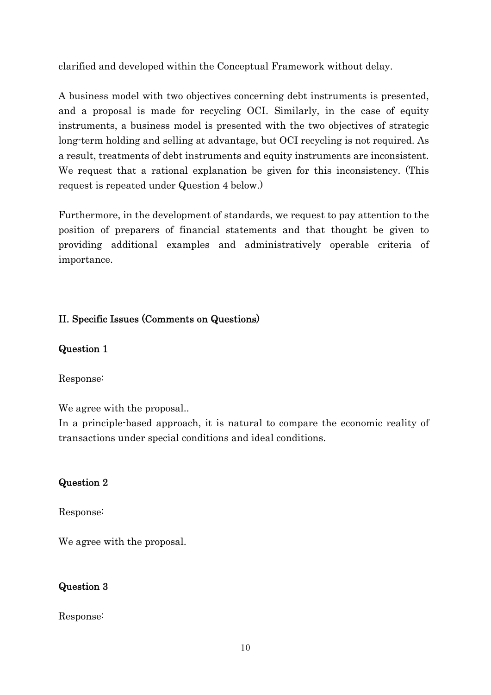clarified and developed within the Conceptual Framework without delay.

A business model with two objectives concerning debt instruments is presented, and a proposal is made for recycling OCI. Similarly, in the case of equity instruments, a business model is presented with the two objectives of strategic long-term holding and selling at advantage, but OCI recycling is not required. As a result, treatments of debt instruments and equity instruments are inconsistent. We request that a rational explanation be given for this inconsistency. (This request is repeated under Question 4 below.)

Furthermore, in the development of standards, we request to pay attention to the position of preparers of financial statements and that thought be given to providing additional examples and administratively operable criteria of importance.

# II. Specific Issues (Comments on Questions)

## Question 1

Response:

We agree with the proposal...

In a principle-based approach, it is natural to compare the economic reality of transactions under special conditions and ideal conditions.

# Question 2

Response:

We agree with the proposal.

# Question 3

Response: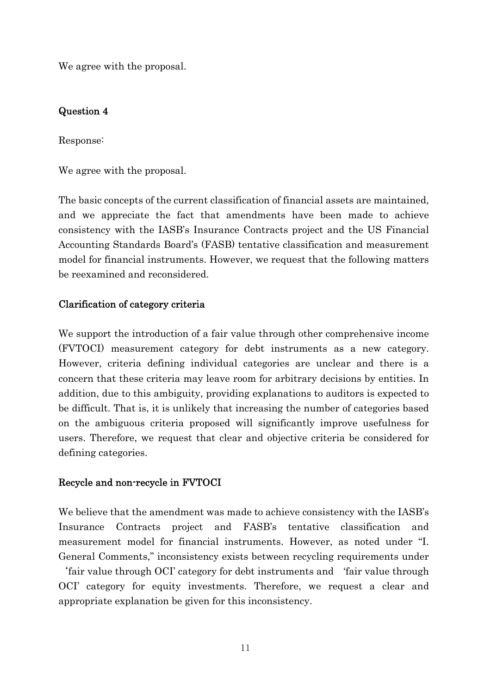We agree with the proposal.

## Question 4

Response:

We agree with the proposal.

The basic concepts of the current classification of financial assets are maintained, and we appreciate the fact that amendments have been made to achieve consistency with the IASB's Insurance Contracts project and the US Financial Accounting Standards Board's (FASB) tentative classification and measurement model for financial instruments. However, we request that the following matters be reexamined and reconsidered.

## Clarification of category criteria

We support the introduction of a fair value through other comprehensive income (FVTOCI) measurement category for debt instruments as a new category. However, criteria defining individual categories are unclear and there is a concern that these criteria may leave room for arbitrary decisions by entities. In addition, due to this ambiguity, providing explanations to auditors is expected to be difficult. That is, it is unlikely that increasing the number of categories based on the ambiguous criteria proposed will significantly improve usefulness for users. Therefore, we request that clear and objective criteria be considered for defining categories.

## Recycle and non-recycle in FVTOCI

We believe that the amendment was made to achieve consistency with the IASB's Insurance Contracts project and FASB's tentative classification and measurement model for financial instruments. However, as noted under "I. General Comments," inconsistency exists between recycling requirements under

'fair value through OCI' category for debt instruments and 'fair value through OCI' category for equity investments. Therefore, we request a clear and appropriate explanation be given for this inconsistency.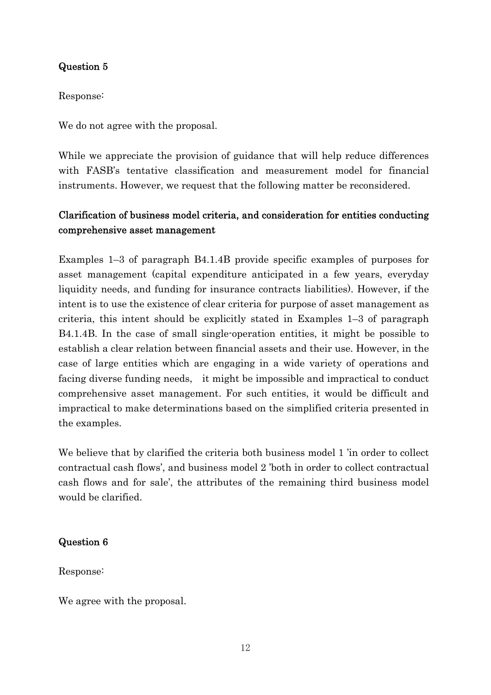## Question 5

Response:

We do not agree with the proposal.

While we appreciate the provision of guidance that will help reduce differences with FASB's tentative classification and measurement model for financial instruments. However, we request that the following matter be reconsidered.

# Clarification of business model criteria, and consideration for entities conducting comprehensive asset management

Examples 1–3 of paragraph B4.1.4B provide specific examples of purposes for asset management (capital expenditure anticipated in a few years, everyday liquidity needs, and funding for insurance contracts liabilities). However, if the intent is to use the existence of clear criteria for purpose of asset management as criteria, this intent should be explicitly stated in Examples 1–3 of paragraph B4.1.4B. In the case of small single-operation entities, it might be possible to establish a clear relation between financial assets and their use. However, in the case of large entities which are engaging in a wide variety of operations and facing diverse funding needs, it might be impossible and impractical to conduct comprehensive asset management. For such entities, it would be difficult and impractical to make determinations based on the simplified criteria presented in the examples.

We believe that by clarified the criteria both business model 1 'in order to collect contractual cash flows', and business model 2 'both in order to collect contractual cash flows and for sale', the attributes of the remaining third business model would be clarified.

## Question 6

Response:

We agree with the proposal.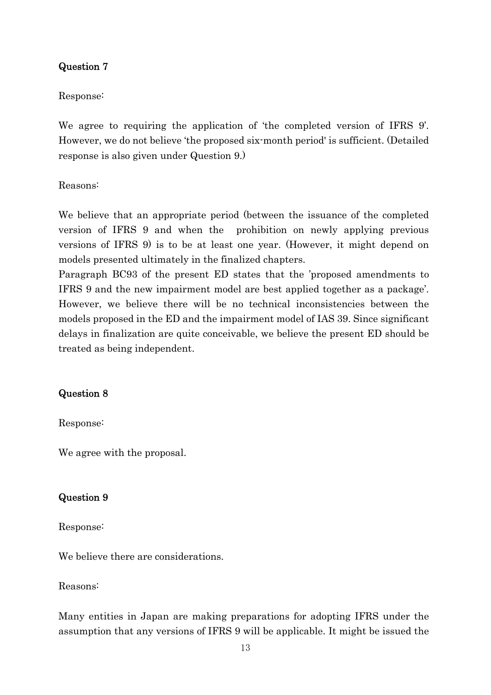## Question 7

### Response:

We agree to requiring the application of 'the completed version of IFRS 9'. However, we do not believe 'the proposed six-month period' is sufficient. (Detailed response is also given under Question 9.)

Reasons:

We believe that an appropriate period (between the issuance of the completed version of IFRS 9 and when the prohibition on newly applying previous versions of IFRS 9) is to be at least one year. (However, it might depend on models presented ultimately in the finalized chapters.

Paragraph BC93 of the present ED states that the 'proposed amendments to IFRS 9 and the new impairment model are best applied together as a package'. However, we believe there will be no technical inconsistencies between the models proposed in the ED and the impairment model of IAS 39. Since significant delays in finalization are quite conceivable, we believe the present ED should be treated as being independent.

## Question 8

Response:

We agree with the proposal.

### Question 9

Response:

We believe there are considerations.

Reasons:

Many entities in Japan are making preparations for adopting IFRS under the assumption that any versions of IFRS 9 will be applicable. It might be issued the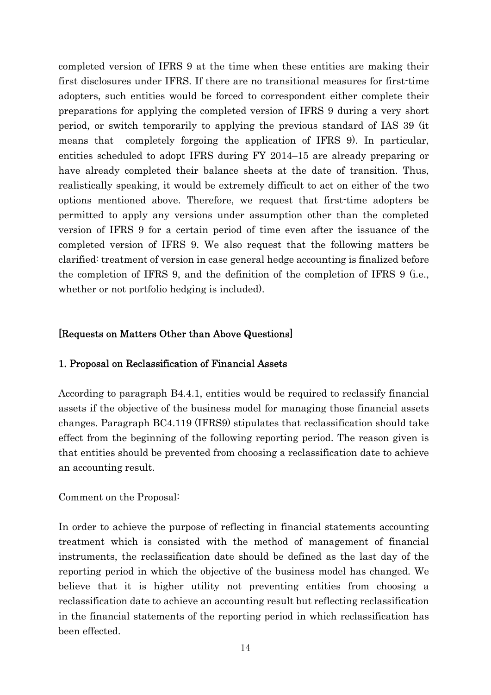completed version of IFRS 9 at the time when these entities are making their first disclosures under IFRS. If there are no transitional measures for first-time adopters, such entities would be forced to correspondent either complete their preparations for applying the completed version of IFRS 9 during a very short period, or switch temporarily to applying the previous standard of IAS 39 (it means that completely forgoing the application of IFRS 9). In particular, entities scheduled to adopt IFRS during FY 2014–15 are already preparing or have already completed their balance sheets at the date of transition. Thus, realistically speaking, it would be extremely difficult to act on either of the two options mentioned above. Therefore, we request that first-time adopters be permitted to apply any versions under assumption other than the completed version of IFRS 9 for a certain period of time even after the issuance of the completed version of IFRS 9. We also request that the following matters be clarified: treatment of version in case general hedge accounting is finalized before the completion of IFRS 9, and the definition of the completion of IFRS 9 (i.e., whether or not portfolio hedging is included).

### [Requests on Matters Other than Above Questions]

### 1. Proposal on Reclassification of Financial Assets

According to paragraph B4.4.1, entities would be required to reclassify financial assets if the objective of the business model for managing those financial assets changes. Paragraph BC4.119 (IFRS9) stipulates that reclassification should take effect from the beginning of the following reporting period. The reason given is that entities should be prevented from choosing a reclassification date to achieve an accounting result.

### Comment on the Proposal:

In order to achieve the purpose of reflecting in financial statements accounting treatment which is consisted with the method of management of financial instruments, the reclassification date should be defined as the last day of the reporting period in which the objective of the business model has changed. We believe that it is higher utility not preventing entities from choosing a reclassification date to achieve an accounting result but reflecting reclassification in the financial statements of the reporting period in which reclassification has been effected.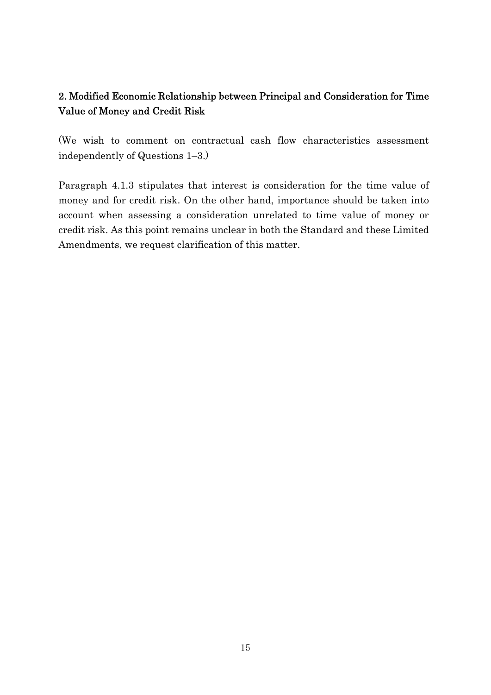# 2. Modified Economic Relationship between Principal and Consideration for Time Value of Money and Credit Risk

(We wish to comment on contractual cash flow characteristics assessment independently of Questions 1–3.)

Paragraph 4.1.3 stipulates that interest is consideration for the time value of money and for credit risk. On the other hand, importance should be taken into account when assessing a consideration unrelated to time value of money or credit risk. As this point remains unclear in both the Standard and these Limited Amendments, we request clarification of this matter.